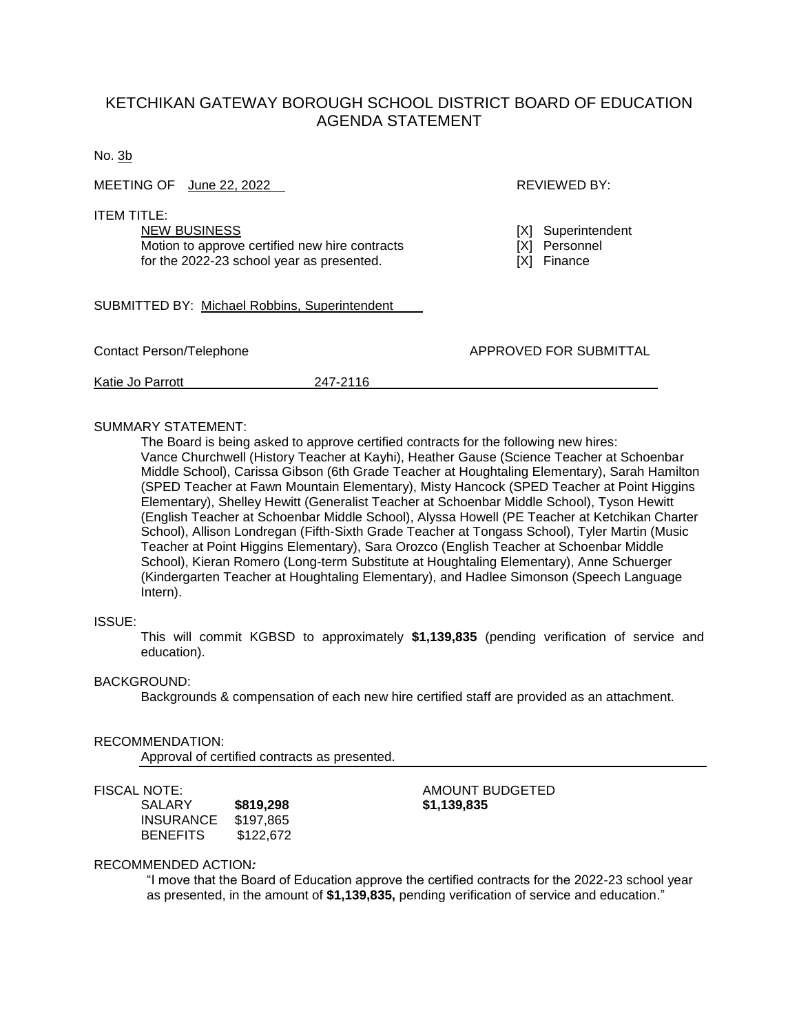# KETCHIKAN GATEWAY BOROUGH SCHOOL DISTRICT BOARD OF EDUCATION AGENDA STATEMENT

No. 3b

MEETING OF June 22, 2022 **REVIEWED BY:** REVIEWED BY:

ITEM TITLE:

NEW BUSINESS **EXAMPLE SETTING EXAMPLE SETTING EXAMPLE SETTING INCONSTRUCTS EXAMPLE SETTING** Motion to approve certified new hire contracts [X] Personnel<br>for the 2022-23 school vear as presented. [X] Finance for the  $2022-23$  school year as presented.

SUBMITTED BY: Michael Robbins, Superintendent

Contact Person/Telephone **APPROVED FOR SUBMITTAL** 

| Katie Jo Parrott | 217.2116 |
|------------------|----------|
|                  |          |

### SUMMARY STATEMENT:

The Board is being asked to approve certified contracts for the following new hires: Vance Churchwell (History Teacher at Kayhi), Heather Gause (Science Teacher at Schoenbar Middle School), Carissa Gibson (6th Grade Teacher at Houghtaling Elementary), Sarah Hamilton (SPED Teacher at Fawn Mountain Elementary), Misty Hancock (SPED Teacher at Point Higgins Elementary), Shelley Hewitt (Generalist Teacher at Schoenbar Middle School), Tyson Hewitt (English Teacher at Schoenbar Middle School), Alyssa Howell (PE Teacher at Ketchikan Charter School), Allison Londregan (Fifth-Sixth Grade Teacher at Tongass School), Tyler Martin (Music Teacher at Point Higgins Elementary), Sara Orozco (English Teacher at Schoenbar Middle School), Kieran Romero (Long-term Substitute at Houghtaling Elementary), Anne Schuerger (Kindergarten Teacher at Houghtaling Elementary), and Hadlee Simonson (Speech Language Intern).

#### ISSUE:

This will commit KGBSD to approximately **\$1,139,835** (pending verification of service and education).

#### BACKGROUND:

Backgrounds & compensation of each new hire certified staff are provided as an attachment.

#### RECOMMENDATION:

Approval of certified contracts as presented.

INSURANCE \$197,865 BENEFITS \$122,672

#### FISCAL NOTE: AMOUNT BUDGETED SALARY **\$819,298 \$1,139,835**

#### RECOMMENDED ACTION*:*

"I move that the Board of Education approve the certified contracts for the 2022-23 school year as presented, in the amount of **\$1,139,835,** pending verification of service and education."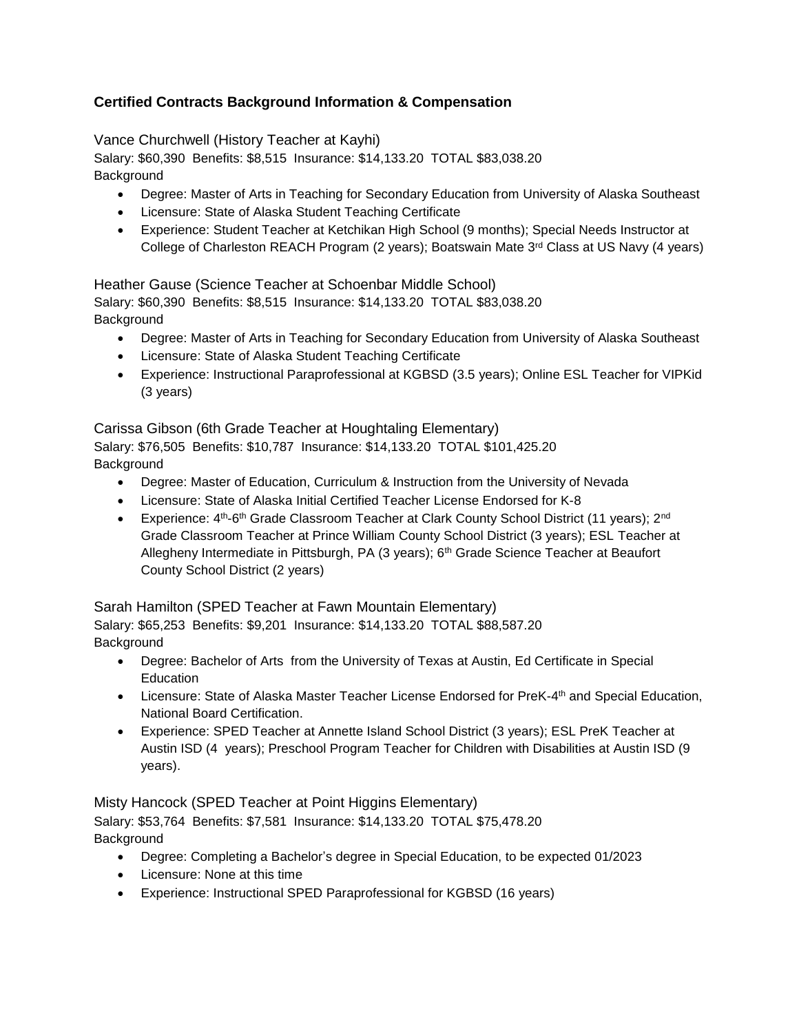# **Certified Contracts Background Information & Compensation**

Vance Churchwell (History Teacher at Kayhi)

Salary: \$60,390 Benefits: \$8,515 Insurance: \$14,133.20 TOTAL \$83,038.20 **Background** 

- Degree: Master of Arts in Teaching for Secondary Education from University of Alaska Southeast
- Licensure: State of Alaska Student Teaching Certificate
- Experience: Student Teacher at Ketchikan High School (9 months); Special Needs Instructor at College of Charleston REACH Program (2 years); Boatswain Mate  $3<sup>rd</sup>$  Class at US Navy (4 years)

Heather Gause (Science Teacher at Schoenbar Middle School) Salary: \$60,390 Benefits: \$8,515 Insurance: \$14,133.20 TOTAL \$83,038.20 **Background** 

- Degree: Master of Arts in Teaching for Secondary Education from University of Alaska Southeast
- Licensure: State of Alaska Student Teaching Certificate
- Experience: Instructional Paraprofessional at KGBSD (3.5 years); Online ESL Teacher for VIPKid (3 years)

Carissa Gibson (6th Grade Teacher at Houghtaling Elementary)

Salary: \$76,505 Benefits: \$10,787 Insurance: \$14,133.20 TOTAL \$101,425.20 **Background** 

- Degree: Master of Education, Curriculum & Instruction from the University of Nevada
- Licensure: State of Alaska Initial Certified Teacher License Endorsed for K-8
- Experience: 4<sup>th</sup>-6<sup>th</sup> Grade Classroom Teacher at Clark County School District (11 years); 2<sup>nd</sup> Grade Classroom Teacher at Prince William County School District (3 years); ESL Teacher at Allegheny Intermediate in Pittsburgh, PA (3 years); 6<sup>th</sup> Grade Science Teacher at Beaufort County School District (2 years)

Sarah Hamilton (SPED Teacher at Fawn Mountain Elementary)

Salary: \$65,253 Benefits: \$9,201 Insurance: \$14,133.20 TOTAL \$88,587.20 **Background** 

- Degree: Bachelor of Arts from the University of Texas at Austin, Ed Certificate in Special **Education**
- Licensure: State of Alaska Master Teacher License Endorsed for PreK-4<sup>th</sup> and Special Education, National Board Certification.
- Experience: SPED Teacher at Annette Island School District (3 years); ESL PreK Teacher at Austin ISD (4 years); Preschool Program Teacher for Children with Disabilities at Austin ISD (9 years).

Misty Hancock (SPED Teacher at Point Higgins Elementary) Salary: \$53,764 Benefits: \$7,581 Insurance: \$14,133.20 TOTAL \$75,478.20 **Background** 

- Degree: Completing a Bachelor's degree in Special Education, to be expected 01/2023
- Licensure: None at this time
- Experience: Instructional SPED Paraprofessional for KGBSD (16 years)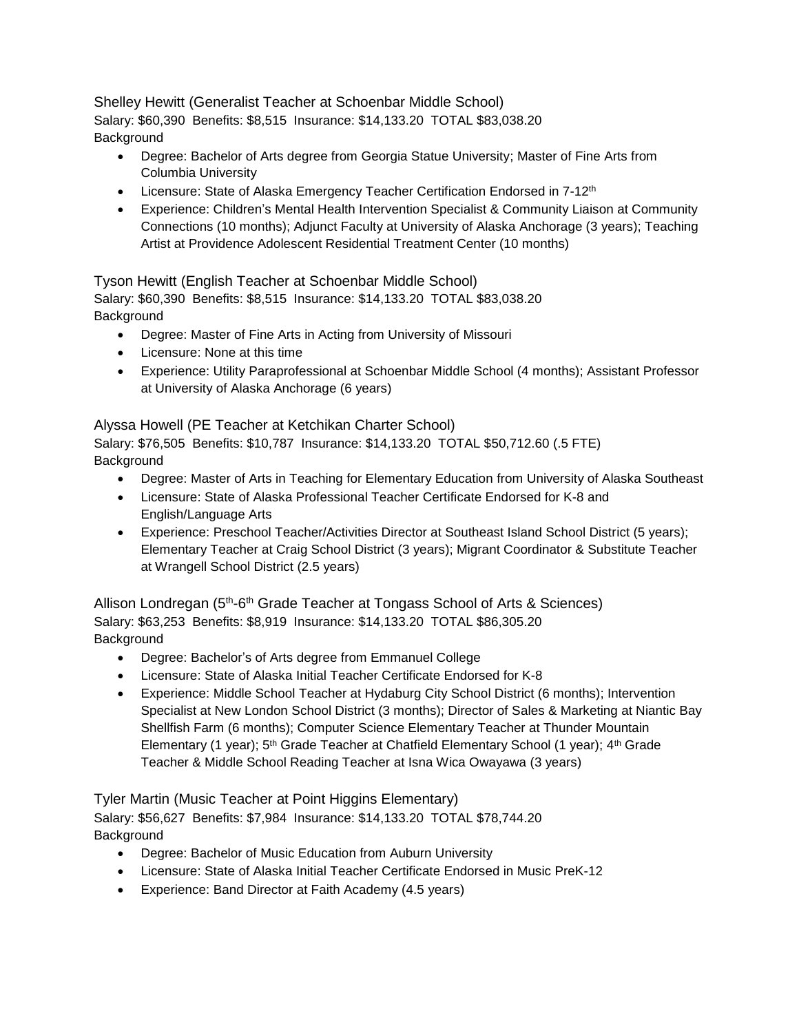Shelley Hewitt (Generalist Teacher at Schoenbar Middle School) Salary: \$60,390 Benefits: \$8,515 Insurance: \$14,133.20 TOTAL \$83,038.20 **Background** 

- Degree: Bachelor of Arts degree from Georgia Statue University; Master of Fine Arts from Columbia University
- Licensure: State of Alaska Emergency Teacher Certification Endorsed in 7-12<sup>th</sup>
- Experience: Children's Mental Health Intervention Specialist & Community Liaison at Community Connections (10 months); Adjunct Faculty at University of Alaska Anchorage (3 years); Teaching Artist at Providence Adolescent Residential Treatment Center (10 months)

# Tyson Hewitt (English Teacher at Schoenbar Middle School)

Salary: \$60,390 Benefits: \$8,515 Insurance: \$14,133.20 TOTAL \$83,038.20 **Background** 

- Degree: Master of Fine Arts in Acting from University of Missouri
- Licensure: None at this time
- Experience: Utility Paraprofessional at Schoenbar Middle School (4 months); Assistant Professor at University of Alaska Anchorage (6 years)

# Alyssa Howell (PE Teacher at Ketchikan Charter School)

Salary: \$76,505 Benefits: \$10,787 Insurance: \$14,133.20 TOTAL \$50,712.60 (.5 FTE) **Background** 

- Degree: Master of Arts in Teaching for Elementary Education from University of Alaska Southeast
- Licensure: State of Alaska Professional Teacher Certificate Endorsed for K-8 and English/Language Arts
- Experience: Preschool Teacher/Activities Director at Southeast Island School District (5 years); Elementary Teacher at Craig School District (3 years); Migrant Coordinator & Substitute Teacher at Wrangell School District (2.5 years)

Allison Londregan (5<sup>th</sup>-6<sup>th</sup> Grade Teacher at Tongass School of Arts & Sciences) Salary: \$63,253 Benefits: \$8,919 Insurance: \$14,133.20 TOTAL \$86,305.20 **Background** 

- Degree: Bachelor's of Arts degree from Emmanuel College
- Licensure: State of Alaska Initial Teacher Certificate Endorsed for K-8
- Experience: Middle School Teacher at Hydaburg City School District (6 months); Intervention Specialist at New London School District (3 months); Director of Sales & Marketing at Niantic Bay Shellfish Farm (6 months); Computer Science Elementary Teacher at Thunder Mountain Elementary (1 year); 5<sup>th</sup> Grade Teacher at Chatfield Elementary School (1 year); 4<sup>th</sup> Grade Teacher & Middle School Reading Teacher at Isna Wica Owayawa (3 years)

## Tyler Martin (Music Teacher at Point Higgins Elementary) Salary: \$56,627 Benefits: \$7,984 Insurance: \$14,133.20 TOTAL \$78,744.20 **Background**

- Degree: Bachelor of Music Education from Auburn University
- Licensure: State of Alaska Initial Teacher Certificate Endorsed in Music PreK-12
- Experience: Band Director at Faith Academy (4.5 years)